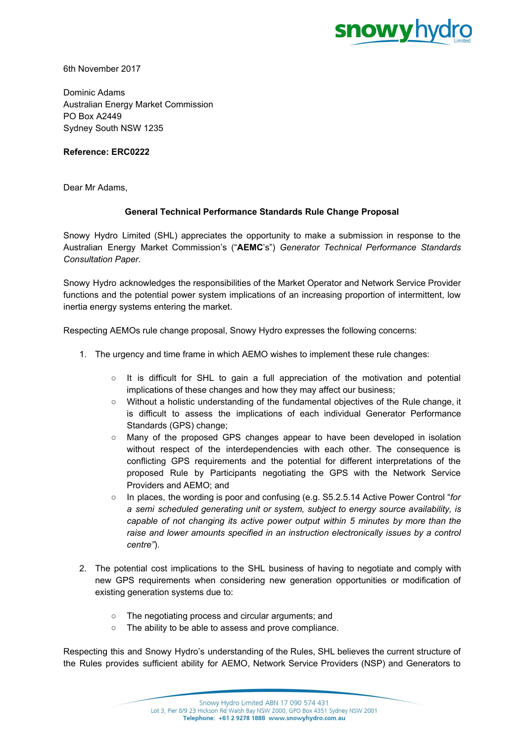

6th November 2017

Dominic Adams Australian Energy Market Commission PO Box A2449 Sydney South NSW 1235

## **Reference: ERC0222**

Dear Mr Adams,

## **General Technical Performance Standards Rule Change Proposal**

Snowy Hydro Limited (SHL) appreciates the opportunity to make a submission in response to the Australian Energy Market Commission's ("**AEMC**'s") *Generator Technical Performance Standards Consultation Paper*.

Snowy Hydro acknowledges the responsibilities of the Market Operator and Network Service Provider functions and the potential power system implications of an increasing proportion of intermittent, low inertia energy systems entering the market.

Respecting AEMOs rule change proposal, Snowy Hydro expresses the following concerns:

- 1. The urgency and time frame in which AEMO wishes to implement these rule changes:
	- $\circ$  It is difficult for SHL to gain a full appreciation of the motivation and potential implications of these changes and how they may affect our business;
	- Without a holistic understanding of the fundamental objectives of the Rule change, it is difficult to assess the implications of each individual Generator Performance Standards (GPS) change;
	- Many of the proposed GPS changes appear to have been developed in isolation without respect of the interdependencies with each other. The consequence is conflicting GPS requirements and the potential for different interpretations of the proposed Rule by Participants negotiating the GPS with the Network Service Providers and AEMO; and
	- In places, the wording is poor and confusing (e.g. S5.2.5.14 Active Power Control "*for a semi scheduled generating unit or system, subject to energy source availability, is capable of not changing its active power output within 5 minutes by more than the raise and lower amounts specified in an instruction electronically issues by a control centre"*).
- 2. The potential cost implications to the SHL business of having to negotiate and comply with new GPS requirements when considering new generation opportunities or modification of existing generation systems due to:
	- The negotiating process and circular arguments; and
	- The ability to be able to assess and prove compliance.

Respecting this and Snowy Hydro's understanding of the Rules, SHL believes the current structure of the Rules provides sufficient ability for AEMO, Network Service Providers (NSP) and Generators to